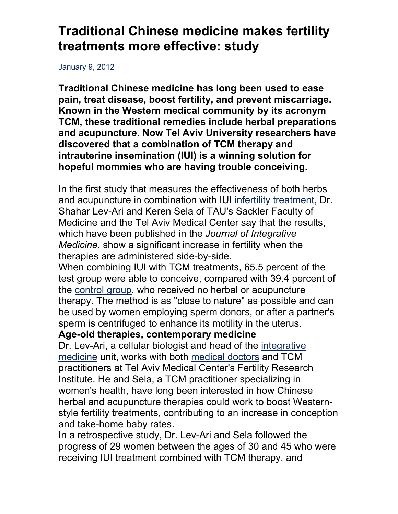## **Traditional Chinese medicine makes fertility treatments more effective: study**

January 9, 2012

**Traditional Chinese medicine has long been used to ease pain, treat disease, boost fertility, and prevent miscarriage. Known in the Western medical community by its acronym TCM, these traditional remedies include herbal preparations and acupuncture. Now Tel Aviv University researchers have discovered that a combination of TCM therapy and intrauterine insemination (IUI) is a winning solution for hopeful mommies who are having trouble conceiving.**

In the first study that measures the effectiveness of both herbs and acupuncture in combination with IUI infertility treatment, Dr. Shahar Lev-Ari and Keren Sela of TAU's Sackler Faculty of Medicine and the Tel Aviv Medical Center say that the results, which have been published in the *Journal of Integrative Medicine*, show a significant increase in fertility when the therapies are administered side-by-side.

When combining IUI with TCM treatments, 65.5 percent of the test group were able to conceive, compared with 39.4 percent of the control group, who received no herbal or acupuncture therapy. The method is as "close to nature" as possible and can be used by women employing sperm donors, or after a partner's sperm is centrifuged to enhance its motility in the uterus.

## **Age-old therapies, contemporary medicine**

Dr. Lev-Ari, a cellular biologist and head of the integrative medicine unit, works with both medical doctors and TCM practitioners at Tel Aviv Medical Center's Fertility Research Institute. He and Sela, a TCM practitioner specializing in women's health, have long been interested in how Chinese herbal and acupuncture therapies could work to boost Westernstyle fertility treatments, contributing to an increase in conception and take-home baby rates.

In a retrospective study, Dr. Lev-Ari and Sela followed the progress of 29 women between the ages of 30 and 45 who were receiving IUI treatment combined with TCM therapy, and